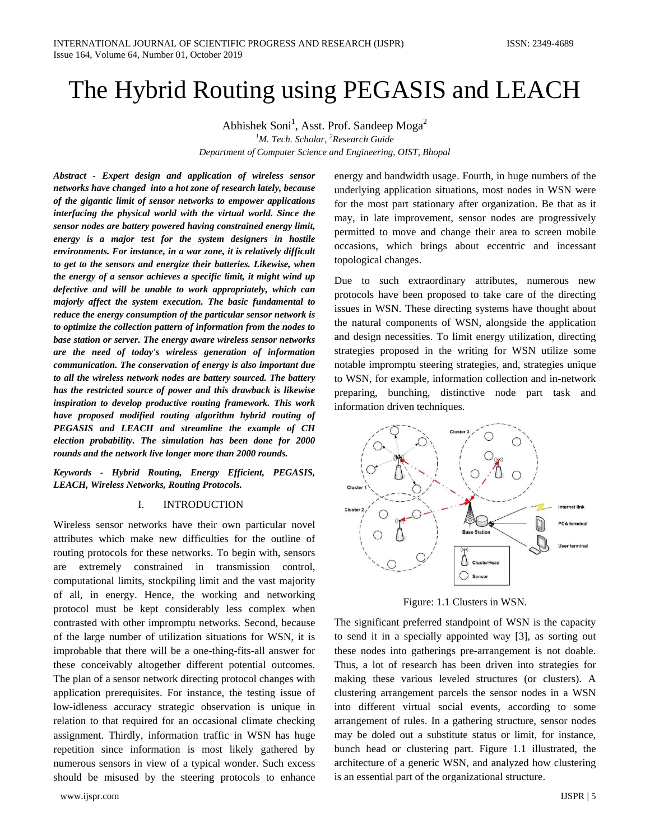# The Hybrid Routing using PEGASIS and LEACH

Abhishek Soni<sup>1</sup>, Asst. Prof. Sandeep Moga<sup>2</sup> *1 M. Tech. Scholar, <sup>2</sup> Research Guide Department of Computer Science and Engineering, OIST, Bhopal*

*Abstract - Expert design and application of wireless sensor networks have changed into a hot zone of research lately, because of the gigantic limit of sensor networks to empower applications interfacing the physical world with the virtual world. Since the sensor nodes are battery powered having constrained energy limit, energy is a major test for the system designers in hostile environments. For instance, in a war zone, it is relatively difficult to get to the sensors and energize their batteries. Likewise, when the energy of a sensor achieves a specific limit, it might wind up defective and will be unable to work appropriately, which can majorly affect the system execution. The basic fundamental to reduce the energy consumption of the particular sensor network is to optimize the collection pattern of information from the nodes to base station or server. The energy aware wireless sensor networks are the need of today's wireless generation of information communication. The conservation of energy is also important due to all the wireless network nodes are battery sourced. The battery has the restricted source of power and this drawback is likewise inspiration to develop productive routing framework. This work have proposed modified routing algorithm hybrid routing of PEGASIS and LEACH and streamline the example of CH election probability. The simulation has been done for 2000 rounds and the network live longer more than 2000 rounds.*

*Keywords - Hybrid Routing, Energy Efficient, PEGASIS, LEACH, Wireless Networks, Routing Protocols.*

#### I. INTRODUCTION

Wireless sensor networks have their own particular novel attributes which make new difficulties for the outline of routing protocols for these networks. To begin with, sensors are extremely constrained in transmission control, computational limits, stockpiling limit and the vast majority of all, in energy. Hence, the working and networking protocol must be kept considerably less complex when contrasted with other impromptu networks. Second, because of the large number of utilization situations for WSN, it is improbable that there will be a one-thing-fits-all answer for these conceivably altogether different potential outcomes. The plan of a sensor network directing protocol changes with application prerequisites. For instance, the testing issue of low-idleness accuracy strategic observation is unique in relation to that required for an occasional climate checking assignment. Thirdly, information traffic in WSN has huge repetition since information is most likely gathered by numerous sensors in view of a typical wonder. Such excess should be misused by the steering protocols to enhance

www.ijspr.com IJSPR | 5

energy and bandwidth usage. Fourth, in huge numbers of the underlying application situations, most nodes in WSN were for the most part stationary after organization. Be that as it may, in late improvement, sensor nodes are progressively permitted to move and change their area to screen mobile occasions, which brings about eccentric and incessant topological changes.

Due to such extraordinary attributes, numerous new protocols have been proposed to take care of the directing issues in WSN. These directing systems have thought about the natural components of WSN, alongside the application and design necessities. To limit energy utilization, directing strategies proposed in the writing for WSN utilize some notable impromptu steering strategies, and, strategies unique to WSN, for example, information collection and in-network preparing, bunching, distinctive node part task and information driven techniques.



Figure: 1.1 Clusters in WSN.

The significant preferred standpoint of WSN is the capacity to send it in a specially appointed way [3], as sorting out these nodes into gatherings pre-arrangement is not doable. Thus, a lot of research has been driven into strategies for making these various leveled structures (or clusters). A clustering arrangement parcels the sensor nodes in a WSN into different virtual social events, according to some arrangement of rules. In a gathering structure, sensor nodes may be doled out a substitute status or limit, for instance, bunch head or clustering part. Figure 1.1 illustrated, the architecture of a generic WSN, and analyzed how clustering is an essential part of the organizational structure.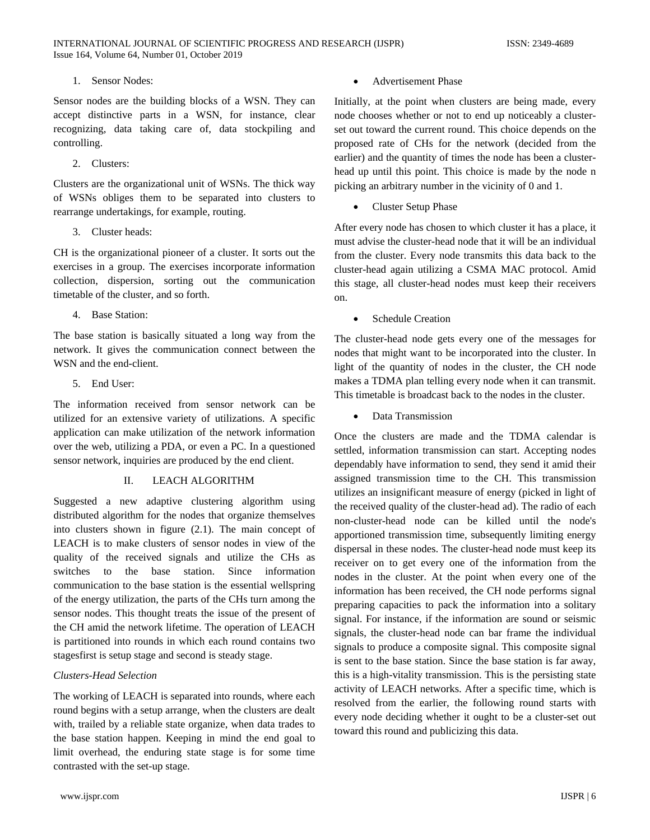1. Sensor Nodes:

Sensor nodes are the building blocks of a WSN. They can accept distinctive parts in a WSN, for instance, clear recognizing, data taking care of, data stockpiling and controlling.

2. Clusters:

Clusters are the organizational unit of WSNs. The thick way of WSNs obliges them to be separated into clusters to rearrange undertakings, for example, routing.

3. Cluster heads:

CH is the organizational pioneer of a cluster. It sorts out the exercises in a group. The exercises incorporate information collection, dispersion, sorting out the communication timetable of the cluster, and so forth.

4. Base Station:

The base station is basically situated a long way from the network. It gives the communication connect between the WSN and the end-client.

5. End User:

The information received from sensor network can be utilized for an extensive variety of utilizations. A specific application can make utilization of the network information over the web, utilizing a PDA, or even a PC. In a questioned sensor network, inquiries are produced by the end client.

# II. LEACH ALGORITHM

Suggested a new adaptive clustering algorithm using distributed algorithm for the nodes that organize themselves into clusters shown in figure (2.1). The main concept of LEACH is to make clusters of sensor nodes in view of the quality of the received signals and utilize the CHs as switches to the base station. Since information communication to the base station is the essential wellspring of the energy utilization, the parts of the CHs turn among the sensor nodes. This thought treats the issue of the present of the CH amid the network lifetime. The operation of LEACH is partitioned into rounds in which each round contains two stagesfirst is setup stage and second is steady stage.

# *Clusters-Head Selection*

The working of LEACH is separated into rounds, where each round begins with a setup arrange, when the clusters are dealt with, trailed by a reliable state organize, when data trades to the base station happen. Keeping in mind the end goal to limit overhead, the enduring state stage is for some time contrasted with the set-up stage.

• Advertisement Phase

Initially, at the point when clusters are being made, every node chooses whether or not to end up noticeably a clusterset out toward the current round. This choice depends on the proposed rate of CHs for the network (decided from the earlier) and the quantity of times the node has been a clusterhead up until this point. This choice is made by the node n picking an arbitrary number in the vicinity of 0 and 1.

• Cluster Setup Phase

After every node has chosen to which cluster it has a place, it must advise the cluster-head node that it will be an individual from the cluster. Every node transmits this data back to the cluster-head again utilizing a CSMA MAC protocol. Amid this stage, all cluster-head nodes must keep their receivers on.

Schedule Creation

The cluster-head node gets every one of the messages for nodes that might want to be incorporated into the cluster. In light of the quantity of nodes in the cluster, the CH node makes a TDMA plan telling every node when it can transmit. This timetable is broadcast back to the nodes in the cluster.

• Data Transmission

Once the clusters are made and the TDMA calendar is settled, information transmission can start. Accepting nodes dependably have information to send, they send it amid their assigned transmission time to the CH. This transmission utilizes an insignificant measure of energy (picked in light of the received quality of the cluster-head ad). The radio of each non-cluster-head node can be killed until the node's apportioned transmission time, subsequently limiting energy dispersal in these nodes. The cluster-head node must keep its receiver on to get every one of the information from the nodes in the cluster. At the point when every one of the information has been received, the CH node performs signal preparing capacities to pack the information into a solitary signal. For instance, if the information are sound or seismic signals, the cluster-head node can bar frame the individual signals to produce a composite signal. This composite signal is sent to the base station. Since the base station is far away, this is a high-vitality transmission. This is the persisting state activity of LEACH networks. After a specific time, which is resolved from the earlier, the following round starts with every node deciding whether it ought to be a cluster-set out toward this round and publicizing this data.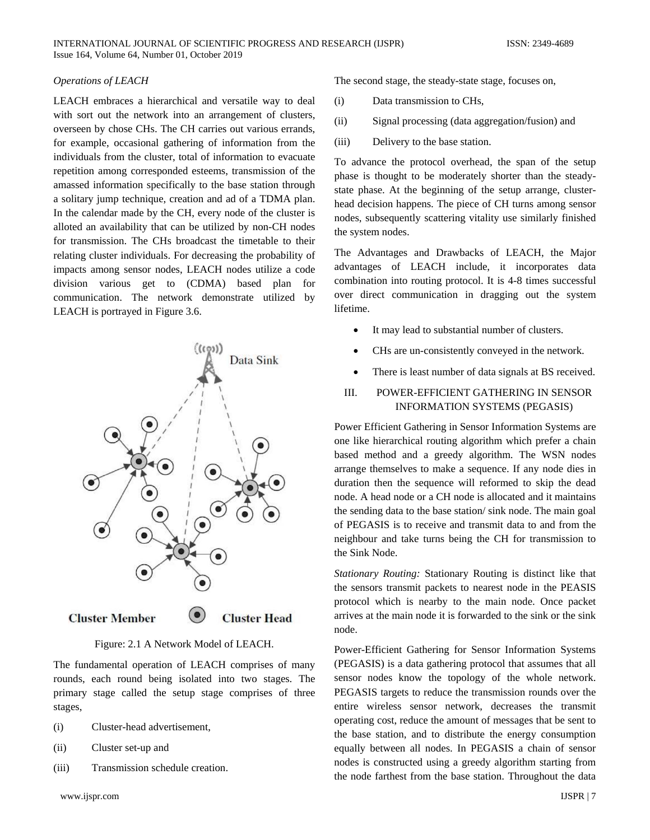#### *Operations of LEACH*

LEACH embraces a hierarchical and versatile way to deal with sort out the network into an arrangement of clusters, overseen by chose CHs. The CH carries out various errands, for example, occasional gathering of information from the individuals from the cluster, total of information to evacuate repetition among corresponded esteems, transmission of the amassed information specifically to the base station through a solitary jump technique, creation and ad of a TDMA plan. In the calendar made by the CH, every node of the cluster is alloted an availability that can be utilized by non-CH nodes for transmission. The CHs broadcast the timetable to their relating cluster individuals. For decreasing the probability of impacts among sensor nodes, LEACH nodes utilize a code division various get to (CDMA) based plan for communication. The network demonstrate utilized by LEACH is portrayed in Figure 3.6.



Figure: 2.1 A Network Model of LEACH.

The fundamental operation of LEACH comprises of many rounds, each round being isolated into two stages. The primary stage called the setup stage comprises of three stages,

- (i) Cluster-head advertisement,
- (ii) Cluster set-up and
- (iii) Transmission schedule creation.

The second stage, the steady-state stage, focuses on,

- (i) Data transmission to CHs,
- (ii) Signal processing (data aggregation/fusion) and
- (iii) Delivery to the base station.

To advance the protocol overhead, the span of the setup phase is thought to be moderately shorter than the steadystate phase. At the beginning of the setup arrange, clusterhead decision happens. The piece of CH turns among sensor nodes, subsequently scattering vitality use similarly finished the system nodes.

The Advantages and Drawbacks of LEACH, the Major advantages of LEACH include, it incorporates data combination into routing protocol. It is 4-8 times successful over direct communication in dragging out the system lifetime.

- It may lead to substantial number of clusters.
- CHs are un-consistently conveyed in the network.
- There is least number of data signals at BS received.

# III. POWER-EFFICIENT GATHERING IN SENSOR INFORMATION SYSTEMS (PEGASIS)

Power Efficient Gathering in Sensor Information Systems are one like hierarchical routing algorithm which prefer a chain based method and a greedy algorithm. The WSN nodes arrange themselves to make a sequence. If any node dies in duration then the sequence will reformed to skip the dead node. A head node or a CH node is allocated and it maintains the sending data to the base station/ sink node. The main goal of PEGASIS is to receive and transmit data to and from the neighbour and take turns being the CH for transmission to the Sink Node.

*Stationary Routing:* Stationary Routing is distinct like that the sensors transmit packets to nearest node in the PEASIS protocol which is nearby to the main node. Once packet arrives at the main node it is forwarded to the sink or the sink node.

Power-Efficient Gathering for Sensor Information Systems (PEGASIS) is a data gathering protocol that assumes that all sensor nodes know the topology of the whole network. PEGASIS targets to reduce the transmission rounds over the entire wireless sensor network, decreases the transmit operating cost, reduce the amount of messages that be sent to the base station, and to distribute the energy consumption equally between all nodes. In PEGASIS a chain of sensor nodes is constructed using a greedy algorithm starting from the node farthest from the base station. Throughout the data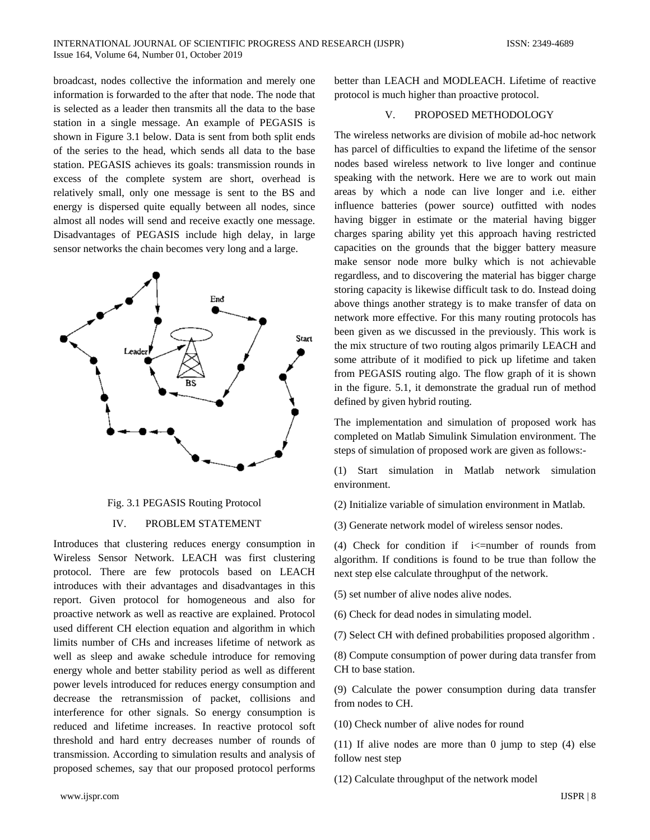broadcast, nodes collective the information and merely one information is forwarded to the after that node. The node that is selected as a leader then transmits all the data to the base station in a single message. An example of PEGASIS is shown in Figure 3.1 below. Data is sent from both split ends of the series to the head, which sends all data to the base station. PEGASIS achieves its goals: transmission rounds in excess of the complete system are short, overhead is relatively small, only one message is sent to the BS and energy is dispersed quite equally between all nodes, since almost all nodes will send and receive exactly one message. Disadvantages of PEGASIS include high delay, in large sensor networks the chain becomes very long and a large.



# Fig. 3.1 PEGASIS Routing Protocol

# IV. PROBLEM STATEMENT

Introduces that clustering reduces energy consumption in Wireless Sensor Network. LEACH was first clustering protocol. There are few protocols based on LEACH introduces with their advantages and disadvantages in this report. Given protocol for homogeneous and also for proactive network as well as reactive are explained. Protocol used different CH election equation and algorithm in which limits number of CHs and increases lifetime of network as well as sleep and awake schedule introduce for removing energy whole and better stability period as well as different power levels introduced for reduces energy consumption and decrease the retransmission of packet, collisions and interference for other signals. So energy consumption is reduced and lifetime increases. In reactive protocol soft threshold and hard entry decreases number of rounds of transmission. According to simulation results and analysis of proposed schemes, say that our proposed protocol performs

better than LEACH and MODLEACH. Lifetime of reactive protocol is much higher than proactive protocol.

#### V. PROPOSED METHODOLOGY

The wireless networks are division of mobile ad-hoc network has parcel of difficulties to expand the lifetime of the sensor nodes based wireless network to live longer and continue speaking with the network. Here we are to work out main areas by which a node can live longer and i.e. either influence batteries (power source) outfitted with nodes having bigger in estimate or the material having bigger charges sparing ability yet this approach having restricted capacities on the grounds that the bigger battery measure make sensor node more bulky which is not achievable regardless, and to discovering the material has bigger charge storing capacity is likewise difficult task to do. Instead doing above things another strategy is to make transfer of data on network more effective. For this many routing protocols has been given as we discussed in the previously. This work is the mix structure of two routing algos primarily LEACH and some attribute of it modified to pick up lifetime and taken from PEGASIS routing algo. The flow graph of it is shown in the figure. 5.1, it demonstrate the gradual run of method defined by given hybrid routing.

The implementation and simulation of proposed work has completed on Matlab Simulink Simulation environment. The steps of simulation of proposed work are given as follows:-

(1) Start simulation in Matlab network simulation environment.

(2) Initialize variable of simulation environment in Matlab.

(3) Generate network model of wireless sensor nodes.

(4) Check for condition if  $i\le$ =number of rounds from algorithm. If conditions is found to be true than follow the next step else calculate throughput of the network.

(5) set number of alive nodes alive nodes.

(6) Check for dead nodes in simulating model.

(7) Select CH with defined probabilities proposed algorithm .

(8) Compute consumption of power during data transfer from CH to base station.

(9) Calculate the power consumption during data transfer from nodes to CH.

(10) Check number of alive nodes for round

(11) If alive nodes are more than 0 jump to step (4) else follow nest step

(12) Calculate throughput of the network model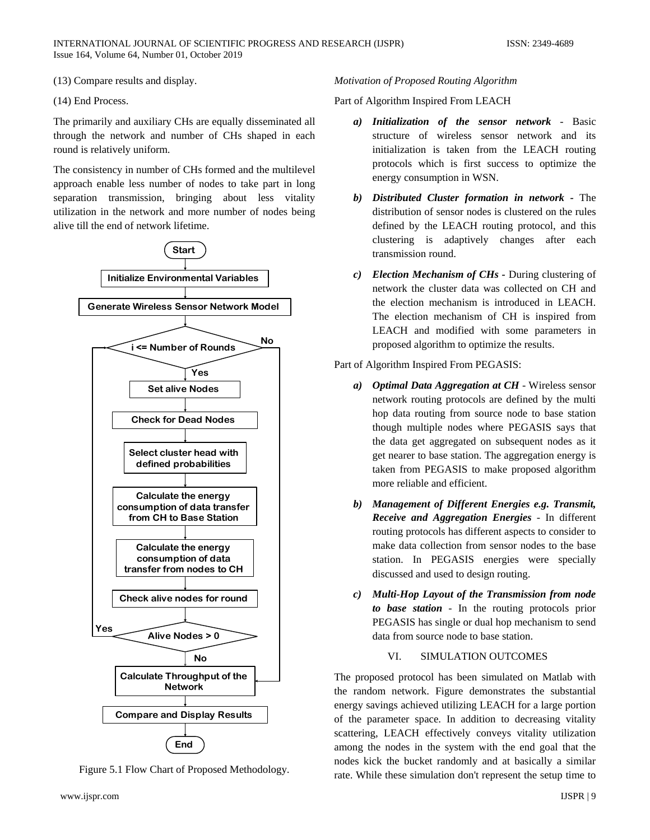(13) Compare results and display.

(14) End Process.

The primarily and auxiliary CHs are equally disseminated all through the network and number of CHs shaped in each round is relatively uniform.

The consistency in number of CHs formed and the multilevel approach enable less number of nodes to take part in long separation transmission, bringing about less vitality utilization in the network and more number of nodes being alive till the end of network lifetime.



Figure 5.1 Flow Chart of Proposed Methodology.

#### www.ijspr.com IJSPR | 9

#### *Motivation of Proposed Routing Algorithm*

Part of Algorithm Inspired From LEACH

- *a) Initialization of the sensor network* Basic structure of wireless sensor network and its initialization is taken from the LEACH routing protocols which is first success to optimize the energy consumption in WSN.
- *b) Distributed Cluster formation in network -* The distribution of sensor nodes is clustered on the rules defined by the LEACH routing protocol, and this clustering is adaptively changes after each transmission round.
- *c) Election Mechanism of CHs -* During clustering of network the cluster data was collected on CH and the election mechanism is introduced in LEACH. The election mechanism of CH is inspired from LEACH and modified with some parameters in proposed algorithm to optimize the results.

### Part of Algorithm Inspired From PEGASIS:

- *a) Optimal Data Aggregation at CH* Wireless sensor network routing protocols are defined by the multi hop data routing from source node to base station though multiple nodes where PEGASIS says that the data get aggregated on subsequent nodes as it get nearer to base station. The aggregation energy is taken from PEGASIS to make proposed algorithm more reliable and efficient.
- *b) Management of Different Energies e.g. Transmit, Receive and Aggregation Energies* - In different routing protocols has different aspects to consider to make data collection from sensor nodes to the base station. In PEGASIS energies were specially discussed and used to design routing.
- *c) Multi-Hop Layout of the Transmission from node to base station* - In the routing protocols prior PEGASIS has single or dual hop mechanism to send data from source node to base station.

# VI. SIMULATION OUTCOMES

The proposed protocol has been simulated on Matlab with the random network. Figure demonstrates the substantial energy savings achieved utilizing LEACH for a large portion of the parameter space. In addition to decreasing vitality scattering, LEACH effectively conveys vitality utilization among the nodes in the system with the end goal that the nodes kick the bucket randomly and at basically a similar rate. While these simulation don't represent the setup time to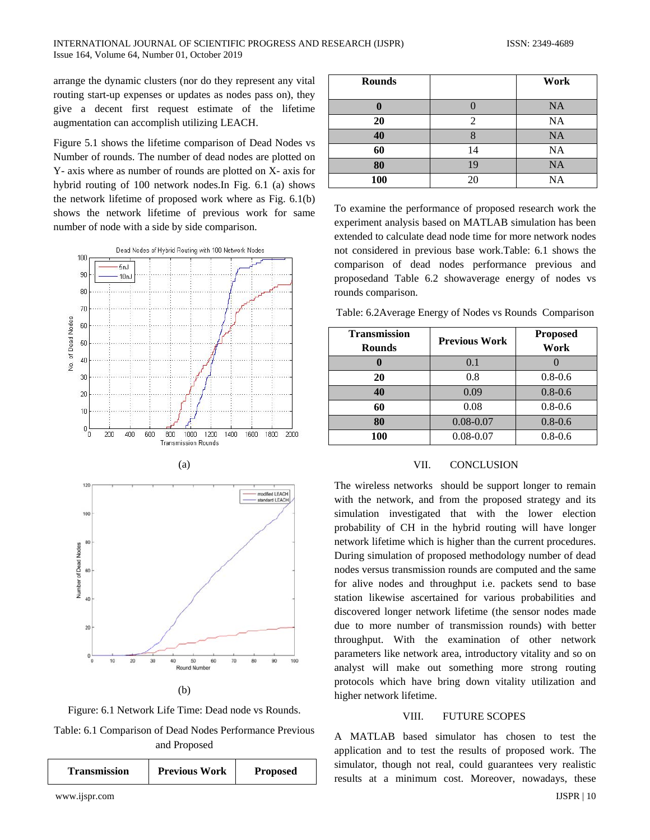arrange the dynamic clusters (nor do they represent any vital routing start-up expenses or updates as nodes pass on), they give a decent first request estimate of the lifetime augmentation can accomplish utilizing LEACH.

Figure 5.1 shows the lifetime comparison of Dead Nodes vs Number of rounds. The number of dead nodes are plotted on Y- axis where as number of rounds are plotted on X- axis for hybrid routing of 100 network nodes.In Fig. 6.1 (a) shows the network lifetime of proposed work where as Fig. 6.1(b) shows the network lifetime of previous work for same number of node with a side by side comparison.



(b)

Figure: 6.1 Network Life Time: Dead node vs Rounds.

Table: 6.1 Comparison of Dead Nodes Performance Previous and Proposed

| Transmission | <b>Previous Work</b> | <b>Proposed</b> |
|--------------|----------------------|-----------------|
|              |                      |                 |

| <b>Rounds</b> |                             | Work      |
|---------------|-----------------------------|-----------|
|               |                             | <b>NA</b> |
| 20            | $\mathcal{D}_{\mathcal{L}}$ | <b>NA</b> |
| 40            |                             | <b>NA</b> |
| 60            | 14                          | <b>NA</b> |
| 80            | 19                          | <b>NA</b> |
| 100           | 20                          | <b>NA</b> |

To examine the performance of proposed research work the experiment analysis based on MATLAB simulation has been extended to calculate dead node time for more network nodes not considered in previous base work.Table: 6.1 shows the comparison of dead nodes performance previous and proposedand Table 6.2 showaverage energy of nodes vs rounds comparison.

Table: 6.2Average Energy of Nodes vs Rounds Comparison

| <b>Transmission</b><br><b>Rounds</b> | <b>Previous Work</b> | <b>Proposed</b><br>Work |
|--------------------------------------|----------------------|-------------------------|
|                                      | 0.1                  |                         |
| 20                                   | 0.8                  | $0.8 - 0.6$             |
| 40                                   | 0.09                 | $0.8 - 0.6$             |
| 60                                   | 0.08                 | $0.8 - 0.6$             |
| 80                                   | $0.08 - 0.07$        | $0.8 - 0.6$             |
| 100                                  | $0.08 - 0.07$        | $0.8 - 0.6$             |

#### VII. CONCLUSION

The wireless networks should be support longer to remain with the network, and from the proposed strategy and its simulation investigated that with the lower election probability of CH in the hybrid routing will have longer network lifetime which is higher than the current procedures. During simulation of proposed methodology number of dead nodes versus transmission rounds are computed and the same for alive nodes and throughput i.e. packets send to base station likewise ascertained for various probabilities and discovered longer network lifetime (the sensor nodes made due to more number of transmission rounds) with better throughput. With the examination of other network parameters like network area, introductory vitality and so on analyst will make out something more strong routing protocols which have bring down vitality utilization and higher network lifetime.

#### VIII. FUTURE SCOPES

A MATLAB based simulator has chosen to test the application and to test the results of proposed work. The simulator, though not real, could guarantees very realistic results at a minimum cost. Moreover, nowadays, these